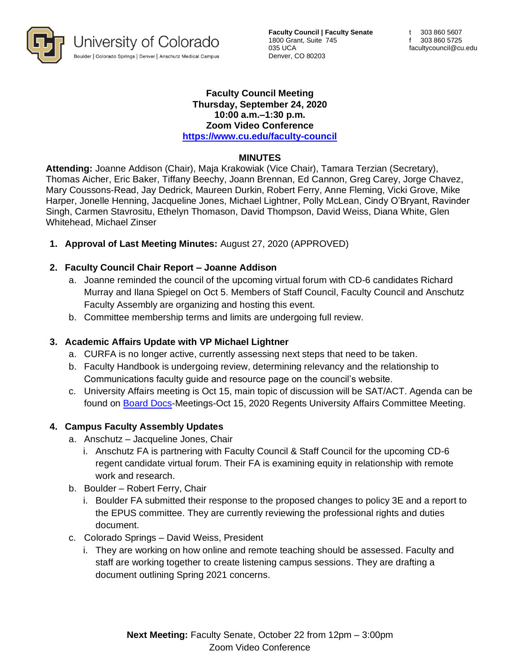

**Faculty Council | Faculty Senate** 1800 Grant, Suite 745 035 UCA Denver, CO 80203

#### **Faculty Council Meeting Thursday, September 24, 2020 10:00 a.m.–1:30 p.m. Zoom Video Conference <https://www.cu.edu/faculty-council>**

#### **MINUTES**

**Attending:** Joanne Addison (Chair), Maja Krakowiak (Vice Chair), Tamara Terzian (Secretary), Thomas Aicher, Eric Baker, Tiffany Beechy, Joann Brennan, Ed Cannon, Greg Carey, Jorge Chavez, Mary Coussons-Read, Jay Dedrick, Maureen Durkin, Robert Ferry, Anne Fleming, Vicki Grove, Mike Harper, Jonelle Henning, Jacqueline Jones, Michael Lightner, Polly McLean, Cindy O'Bryant, Ravinder Singh, Carmen Stavrositu, Ethelyn Thomason, David Thompson, David Weiss, Diana White, Glen Whitehead, Michael Zinser

**1. Approval of Last Meeting Minutes:** August 27, 2020 (APPROVED)

# **2. Faculty Council Chair Report – Joanne Addison**

- a. Joanne reminded the council of the upcoming virtual forum with CD-6 candidates Richard Murray and Ilana Spiegel on Oct 5. Members of Staff Council, Faculty Council and Anschutz Faculty Assembly are organizing and hosting this event.
- b. Committee membership terms and limits are undergoing full review.

# **3. Academic Affairs Update with VP Michael Lightner**

- a. CURFA is no longer active, currently assessing next steps that need to be taken.
- b. Faculty Handbook is undergoing review, determining relevancy and the relationship to Communications faculty guide and resource page on the council's website.
- c. University Affairs meeting is Oct 15, main topic of discussion will be SAT/ACT. Agenda can be found on [Board Docs-](https://go.boarddocs.com/co/cu/Board.nsf/vpublic?open)Meetings-Oct 15, 2020 Regents University Affairs Committee Meeting.

# **4. Campus Faculty Assembly Updates**

- a. Anschutz Jacqueline Jones, Chair
	- i. Anschutz FA is partnering with Faculty Council & Staff Council for the upcoming CD-6 regent candidate virtual forum. Their FA is examining equity in relationship with remote work and research.
- b. Boulder Robert Ferry, Chair
	- i. Boulder FA submitted their response to the proposed changes to policy 3E and a report to the EPUS committee. They are currently reviewing the professional rights and duties document.
- c. Colorado Springs David Weiss, President
	- i. They are working on how online and remote teaching should be assessed. Faculty and staff are working together to create listening campus sessions. They are drafting a document outlining Spring 2021 concerns.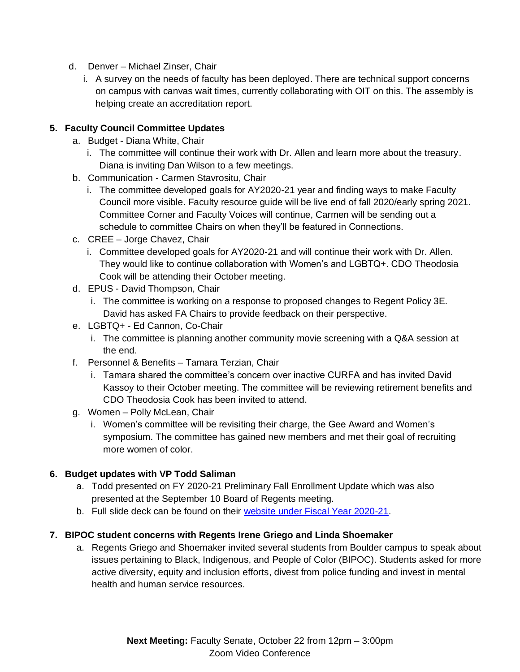- d. Denver Michael Zinser, Chair
	- i. A survey on the needs of faculty has been deployed. There are technical support concerns on campus with canvas wait times, currently collaborating with OIT on this. The assembly is helping create an accreditation report.

### **5. Faculty Council Committee Updates**

- a. Budget Diana White, Chair
	- i. The committee will continue their work with Dr. Allen and learn more about the treasury. Diana is inviting Dan Wilson to a few meetings.
- b. Communication Carmen Stavrositu, Chair
	- i. The committee developed goals for AY2020-21 year and finding ways to make Faculty Council more visible. Faculty resource guide will be live end of fall 2020/early spring 2021. Committee Corner and Faculty Voices will continue, Carmen will be sending out a schedule to committee Chairs on when they'll be featured in Connections.
- c. CREE Jorge Chavez, Chair
	- i. Committee developed goals for AY2020-21 and will continue their work with Dr. Allen. They would like to continue collaboration with Women's and LGBTQ+. CDO Theodosia Cook will be attending their October meeting.
- d. EPUS David Thompson, Chair
	- i. The committee is working on a response to proposed changes to Regent Policy 3E. David has asked FA Chairs to provide feedback on their perspective.
- e. LGBTQ+ Ed Cannon, Co-Chair
	- i. The committee is planning another community movie screening with a Q&A session at the end.
- f. Personnel & Benefits Tamara Terzian, Chair
	- i. Tamara shared the committee's concern over inactive CURFA and has invited David Kassoy to their October meeting. The committee will be reviewing retirement benefits and CDO Theodosia Cook has been invited to attend.
- g. Women Polly McLean, Chair
	- i. Women's committee will be revisiting their charge, the Gee Award and Women's symposium. The committee has gained new members and met their goal of recruiting more women of color.

# **6. Budget updates with VP Todd Saliman**

- a. Todd presented on FY 2020-21 Preliminary Fall Enrollment Update which was also presented at the September 10 Board of Regents meeting.
- b. Full slide deck can be found on their website [under Fiscal Year 2020-21.](https://www.cu.edu/budgetpolicy/board-regents-budget-presentations)

# **7. BIPOC student concerns with Regents Irene Griego and Linda Shoemaker**

a. Regents Griego and Shoemaker invited several students from Boulder campus to speak about issues pertaining to Black, Indigenous, and People of Color (BIPOC). Students asked for more active diversity, equity and inclusion efforts, divest from police funding and invest in mental health and human service resources.